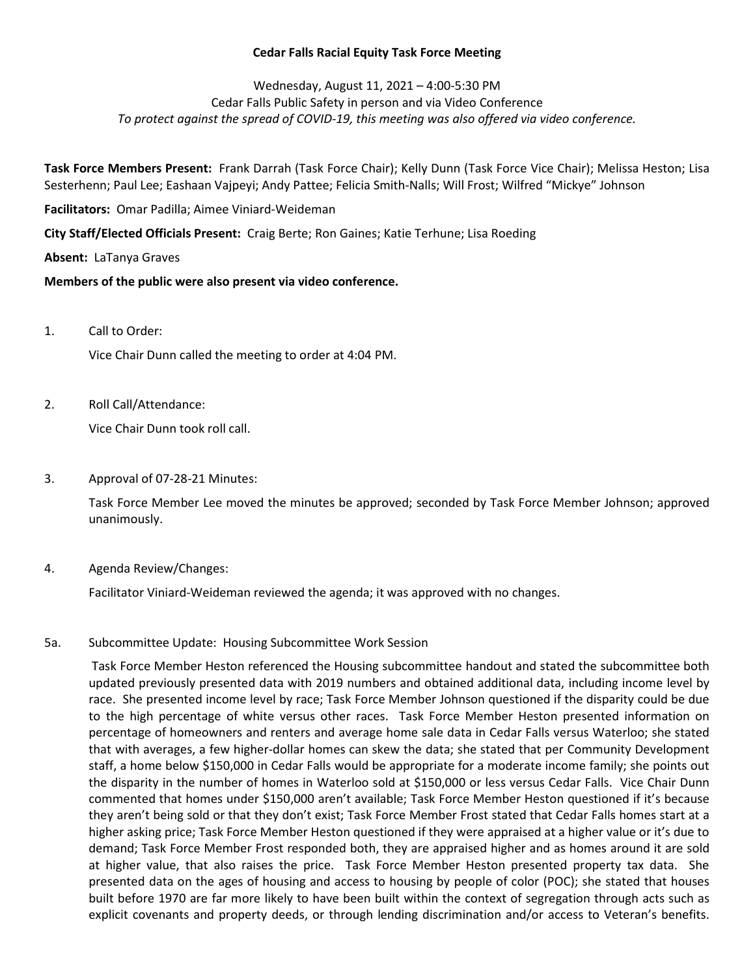### Cedar Falls Racial Equity Task Force Meeting

# Wednesday, August 11, 2021 – 4:00-5:30 PM Cedar Falls Public Safety in person and via Video Conference To protect against the spread of COVID-19, this meeting was also offered via video conference.

Task Force Members Present: Frank Darrah (Task Force Chair); Kelly Dunn (Task Force Vice Chair); Melissa Heston; Lisa Sesterhenn; Paul Lee; Eashaan Vajpeyi; Andy Pattee; Felicia Smith-Nalls; Will Frost; Wilfred "Mickye" Johnson

Facilitators: Omar Padilla; Aimee Viniard-Weideman

City Staff/Elected Officials Present: Craig Berte; Ron Gaines; Katie Terhune; Lisa Roeding

# Absent: LaTanya Graves

# Members of the public were also present via video conference.

1. Call to Order:

Vice Chair Dunn called the meeting to order at 4:04 PM.

2. Roll Call/Attendance:

Vice Chair Dunn took roll call.

3. Approval of 07-28-21 Minutes:

Task Force Member Lee moved the minutes be approved; seconded by Task Force Member Johnson; approved unanimously.

4. Agenda Review/Changes:

Facilitator Viniard-Weideman reviewed the agenda; it was approved with no changes.

### 5a. Subcommittee Update: Housing Subcommittee Work Session

 Task Force Member Heston referenced the Housing subcommittee handout and stated the subcommittee both updated previously presented data with 2019 numbers and obtained additional data, including income level by race. She presented income level by race; Task Force Member Johnson questioned if the disparity could be due to the high percentage of white versus other races. Task Force Member Heston presented information on percentage of homeowners and renters and average home sale data in Cedar Falls versus Waterloo; she stated that with averages, a few higher-dollar homes can skew the data; she stated that per Community Development staff, a home below \$150,000 in Cedar Falls would be appropriate for a moderate income family; she points out the disparity in the number of homes in Waterloo sold at \$150,000 or less versus Cedar Falls. Vice Chair Dunn commented that homes under \$150,000 aren't available; Task Force Member Heston questioned if it's because they aren't being sold or that they don't exist; Task Force Member Frost stated that Cedar Falls homes start at a higher asking price; Task Force Member Heston questioned if they were appraised at a higher value or it's due to demand; Task Force Member Frost responded both, they are appraised higher and as homes around it are sold at higher value, that also raises the price. Task Force Member Heston presented property tax data. She presented data on the ages of housing and access to housing by people of color (POC); she stated that houses built before 1970 are far more likely to have been built within the context of segregation through acts such as explicit covenants and property deeds, or through lending discrimination and/or access to Veteran's benefits.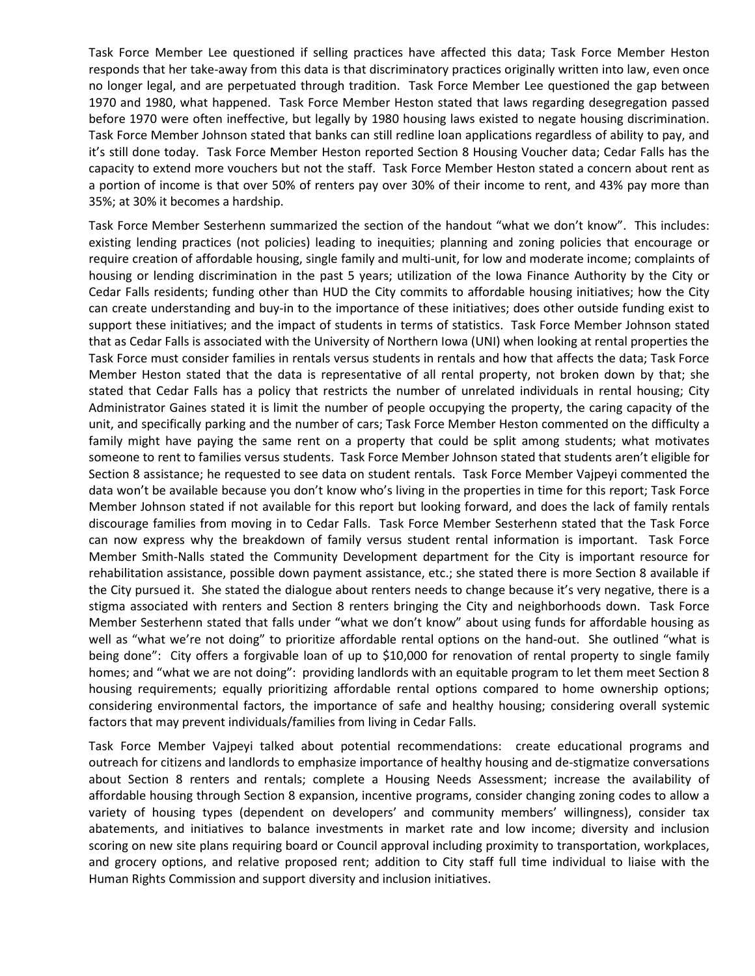Task Force Member Lee questioned if selling practices have affected this data; Task Force Member Heston responds that her take-away from this data is that discriminatory practices originally written into law, even once no longer legal, and are perpetuated through tradition. Task Force Member Lee questioned the gap between 1970 and 1980, what happened. Task Force Member Heston stated that laws regarding desegregation passed before 1970 were often ineffective, but legally by 1980 housing laws existed to negate housing discrimination. Task Force Member Johnson stated that banks can still redline loan applications regardless of ability to pay, and it's still done today. Task Force Member Heston reported Section 8 Housing Voucher data; Cedar Falls has the capacity to extend more vouchers but not the staff. Task Force Member Heston stated a concern about rent as a portion of income is that over 50% of renters pay over 30% of their income to rent, and 43% pay more than 35%; at 30% it becomes a hardship.

Task Force Member Sesterhenn summarized the section of the handout "what we don't know". This includes: existing lending practices (not policies) leading to inequities; planning and zoning policies that encourage or require creation of affordable housing, single family and multi-unit, for low and moderate income; complaints of housing or lending discrimination in the past 5 years; utilization of the Iowa Finance Authority by the City or Cedar Falls residents; funding other than HUD the City commits to affordable housing initiatives; how the City can create understanding and buy-in to the importance of these initiatives; does other outside funding exist to support these initiatives; and the impact of students in terms of statistics. Task Force Member Johnson stated that as Cedar Falls is associated with the University of Northern Iowa (UNI) when looking at rental properties the Task Force must consider families in rentals versus students in rentals and how that affects the data; Task Force Member Heston stated that the data is representative of all rental property, not broken down by that; she stated that Cedar Falls has a policy that restricts the number of unrelated individuals in rental housing; City Administrator Gaines stated it is limit the number of people occupying the property, the caring capacity of the unit, and specifically parking and the number of cars; Task Force Member Heston commented on the difficulty a family might have paying the same rent on a property that could be split among students; what motivates someone to rent to families versus students. Task Force Member Johnson stated that students aren't eligible for Section 8 assistance; he requested to see data on student rentals. Task Force Member Vajpeyi commented the data won't be available because you don't know who's living in the properties in time for this report; Task Force Member Johnson stated if not available for this report but looking forward, and does the lack of family rentals discourage families from moving in to Cedar Falls. Task Force Member Sesterhenn stated that the Task Force can now express why the breakdown of family versus student rental information is important. Task Force Member Smith-Nalls stated the Community Development department for the City is important resource for rehabilitation assistance, possible down payment assistance, etc.; she stated there is more Section 8 available if the City pursued it. She stated the dialogue about renters needs to change because it's very negative, there is a stigma associated with renters and Section 8 renters bringing the City and neighborhoods down. Task Force Member Sesterhenn stated that falls under "what we don't know" about using funds for affordable housing as well as "what we're not doing" to prioritize affordable rental options on the hand-out. She outlined "what is being done": City offers a forgivable loan of up to \$10,000 for renovation of rental property to single family homes; and "what we are not doing": providing landlords with an equitable program to let them meet Section 8 housing requirements; equally prioritizing affordable rental options compared to home ownership options; considering environmental factors, the importance of safe and healthy housing; considering overall systemic factors that may prevent individuals/families from living in Cedar Falls.

Task Force Member Vajpeyi talked about potential recommendations: create educational programs and outreach for citizens and landlords to emphasize importance of healthy housing and de-stigmatize conversations about Section 8 renters and rentals; complete a Housing Needs Assessment; increase the availability of affordable housing through Section 8 expansion, incentive programs, consider changing zoning codes to allow a variety of housing types (dependent on developers' and community members' willingness), consider tax abatements, and initiatives to balance investments in market rate and low income; diversity and inclusion scoring on new site plans requiring board or Council approval including proximity to transportation, workplaces, and grocery options, and relative proposed rent; addition to City staff full time individual to liaise with the Human Rights Commission and support diversity and inclusion initiatives.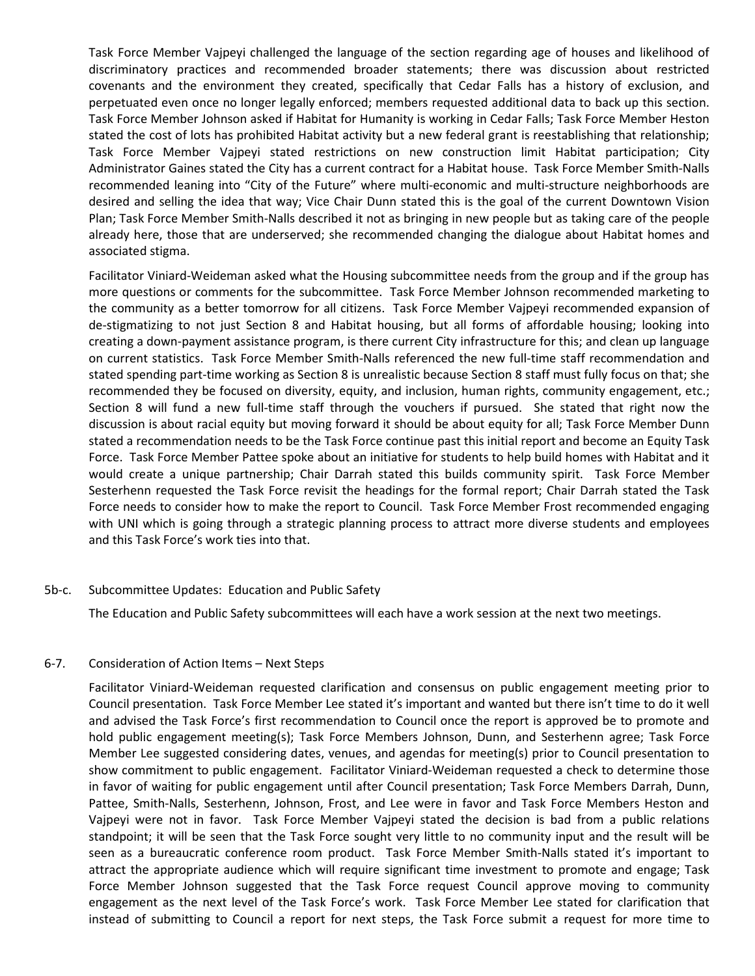Task Force Member Vajpeyi challenged the language of the section regarding age of houses and likelihood of discriminatory practices and recommended broader statements; there was discussion about restricted covenants and the environment they created, specifically that Cedar Falls has a history of exclusion, and perpetuated even once no longer legally enforced; members requested additional data to back up this section. Task Force Member Johnson asked if Habitat for Humanity is working in Cedar Falls; Task Force Member Heston stated the cost of lots has prohibited Habitat activity but a new federal grant is reestablishing that relationship; Task Force Member Vajpeyi stated restrictions on new construction limit Habitat participation; City Administrator Gaines stated the City has a current contract for a Habitat house. Task Force Member Smith-Nalls recommended leaning into "City of the Future" where multi-economic and multi-structure neighborhoods are desired and selling the idea that way; Vice Chair Dunn stated this is the goal of the current Downtown Vision Plan; Task Force Member Smith-Nalls described it not as bringing in new people but as taking care of the people already here, those that are underserved; she recommended changing the dialogue about Habitat homes and associated stigma.

Facilitator Viniard-Weideman asked what the Housing subcommittee needs from the group and if the group has more questions or comments for the subcommittee. Task Force Member Johnson recommended marketing to the community as a better tomorrow for all citizens. Task Force Member Vajpeyi recommended expansion of de-stigmatizing to not just Section 8 and Habitat housing, but all forms of affordable housing; looking into creating a down-payment assistance program, is there current City infrastructure for this; and clean up language on current statistics. Task Force Member Smith-Nalls referenced the new full-time staff recommendation and stated spending part-time working as Section 8 is unrealistic because Section 8 staff must fully focus on that; she recommended they be focused on diversity, equity, and inclusion, human rights, community engagement, etc.; Section 8 will fund a new full-time staff through the vouchers if pursued. She stated that right now the discussion is about racial equity but moving forward it should be about equity for all; Task Force Member Dunn stated a recommendation needs to be the Task Force continue past this initial report and become an Equity Task Force. Task Force Member Pattee spoke about an initiative for students to help build homes with Habitat and it would create a unique partnership; Chair Darrah stated this builds community spirit. Task Force Member Sesterhenn requested the Task Force revisit the headings for the formal report; Chair Darrah stated the Task Force needs to consider how to make the report to Council. Task Force Member Frost recommended engaging with UNI which is going through a strategic planning process to attract more diverse students and employees and this Task Force's work ties into that.

#### 5b-c. Subcommittee Updates: Education and Public Safety

The Education and Public Safety subcommittees will each have a work session at the next two meetings.

#### 6-7. Consideration of Action Items – Next Steps

 Facilitator Viniard-Weideman requested clarification and consensus on public engagement meeting prior to Council presentation. Task Force Member Lee stated it's important and wanted but there isn't time to do it well and advised the Task Force's first recommendation to Council once the report is approved be to promote and hold public engagement meeting(s); Task Force Members Johnson, Dunn, and Sesterhenn agree; Task Force Member Lee suggested considering dates, venues, and agendas for meeting(s) prior to Council presentation to show commitment to public engagement. Facilitator Viniard-Weideman requested a check to determine those in favor of waiting for public engagement until after Council presentation; Task Force Members Darrah, Dunn, Pattee, Smith-Nalls, Sesterhenn, Johnson, Frost, and Lee were in favor and Task Force Members Heston and Vajpeyi were not in favor. Task Force Member Vajpeyi stated the decision is bad from a public relations standpoint; it will be seen that the Task Force sought very little to no community input and the result will be seen as a bureaucratic conference room product. Task Force Member Smith-Nalls stated it's important to attract the appropriate audience which will require significant time investment to promote and engage; Task Force Member Johnson suggested that the Task Force request Council approve moving to community engagement as the next level of the Task Force's work. Task Force Member Lee stated for clarification that instead of submitting to Council a report for next steps, the Task Force submit a request for more time to